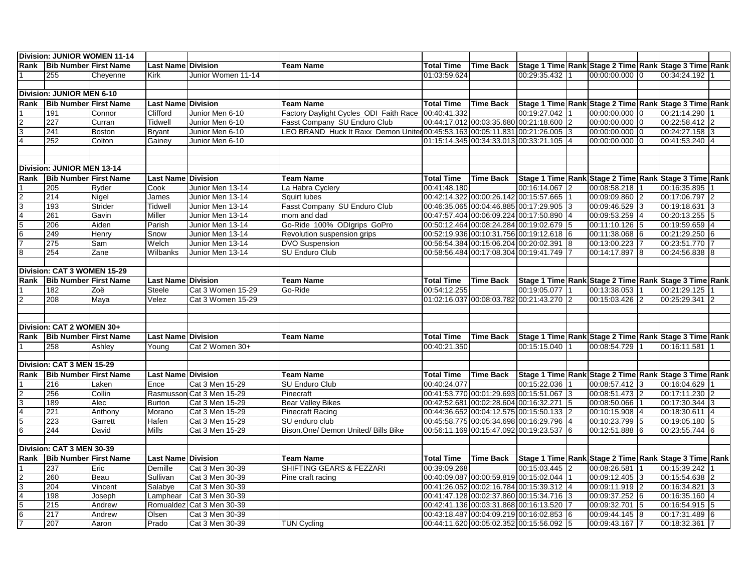| Division: JUNIOR WOMEN 11-14     |                              |          |                           |                           |                                                                              |                   |                  |                                          |                                                       |                |  |
|----------------------------------|------------------------------|----------|---------------------------|---------------------------|------------------------------------------------------------------------------|-------------------|------------------|------------------------------------------|-------------------------------------------------------|----------------|--|
| Rank                             | <b>Bib Number First Name</b> |          | <b>Last Name Division</b> |                           | <b>Team Name</b>                                                             | <b>Total Time</b> | <b>Time Back</b> |                                          | Stage 1 Time Rank Stage 2 Time Rank Stage 3 Time Rank |                |  |
|                                  | 255                          | Cheyenne | <b>Kirk</b>               | Junior Women 11-14        |                                                                              | 01:03:59.624      |                  | 00:29:35.432                             | 00:00:00.000 0                                        | 00:34:24.192   |  |
|                                  |                              |          |                           |                           |                                                                              |                   |                  |                                          |                                                       |                |  |
| <b>Division: JUNIOR MEN 6-10</b> |                              |          |                           |                           |                                                                              |                   |                  |                                          |                                                       |                |  |
| Rank                             | <b>Bib Number First Name</b> |          | <b>Last Name Division</b> |                           | <b>Team Name</b>                                                             | <b>Total Time</b> | <b>Time Back</b> |                                          | Stage 1 Time Rank Stage 2 Time Rank Stage 3 Time Rank |                |  |
|                                  | 191                          | Connor   | Clifford                  | Junior Men 6-10           | Factory Daylight Cycles ODI Faith Race 00:40:41.332                          |                   |                  | 00:19:27.042                             | 00:00:00.000 0                                        | 00:21:14.290   |  |
| $\overline{c}$                   | 227                          | Curran   | Tidwell                   | Junior Men 6-10           | Fasst Company SU Enduro Club                                                 |                   |                  | 00:44:17.012 00:03:35.680 00:21:18.600 2 | 00:00:00.000 0                                        | 00:22:58.412 2 |  |
| 3                                | 241                          | Boston   | <b>Bryant</b>             | Junior Men 6-10           | LEO BRAND Huck It Raxx Demon United 00:45:53.163 00:05:11.831 00:21:26.005 3 |                   |                  |                                          | 00:00:00.000 0                                        | 00:24:27.158 3 |  |
| $\overline{4}$                   | 252                          | Colton   | Gainey                    | Junior Men 6-10           |                                                                              |                   |                  | 01:15:14.345 00:34:33.013 00:33:21.105 4 | 00:00:00.000 0                                        | 00:41:53.240 4 |  |
|                                  |                              |          |                           |                           |                                                                              |                   |                  |                                          |                                                       |                |  |
|                                  |                              |          |                           |                           |                                                                              |                   |                  |                                          |                                                       |                |  |
|                                  | Division: JUNIOR MEN 13-14   |          |                           |                           |                                                                              |                   |                  |                                          |                                                       |                |  |
| Rank                             | <b>Bib Number First Name</b> |          | <b>Last Name Division</b> |                           | <b>Team Name</b>                                                             | <b>Total Time</b> | <b>Time Back</b> |                                          | Stage 1 Time Rank Stage 2 Time Rank Stage 3 Time Rank |                |  |
|                                  | 205                          | Ryder    | Cook                      | Junior Men 13-14          | La Habra Cyclery                                                             | 00:41:48.180      |                  | 00:16:14.067 2                           | 00:08:58.218                                          | 00:16:35.895   |  |
| $\overline{2}$                   | 214                          | Nigel    | James                     | Junior Men 13-14          | Squirt lubes                                                                 |                   |                  | 00:42:14.322 00:00:26.142 00:15:57.665   | 00:09:09.860 2                                        | 00:17:06.797 2 |  |
| 3                                | 193                          | Strider  | Tidwell                   | Junior Men 13-14          | Fasst Company SU Enduro Club                                                 |                   |                  | 00:46:35.065 00:04:46.885 00:17:29.905 3 | 00:09:46.529 3                                        | 00:19:18.631 3 |  |
| $\overline{4}$                   | 261                          | Gavin    | Miller                    | Junior Men 13-14          | mom and dad                                                                  |                   |                  | 00:47:57.404 00:06:09.224 00:17:50.890 4 | 00:09:53.259 4                                        | 00:20:13.255 5 |  |
| $5\overline{5}$                  | 206                          | Aiden    | Parish                    | Junior Men 13-14          | Go-Ride 100% ODIgrips GoPro                                                  |                   |                  | 00:50:12.464 00:08:24.284 00:19:02.679 5 | 00:11:10.126 5                                        | 00:19:59.659 4 |  |
| $6\phantom{.}6$                  | 249                          | Henry    | Snow                      | Junior Men 13-14          | Revolution suspension grips                                                  |                   |                  | 00:52:19.936 00:10:31.756 00:19:12.618 6 | 00:11:38.068 6                                        | 00:21:29.250 6 |  |
|                                  | 275                          | Sam      | Welch                     | Junior Men 13-14          | <b>DVO Suspension</b>                                                        |                   |                  | 00:56:54.384 00:15:06.204 00:20:02.391 8 | 00:13:00.223 7                                        | 00:23:51.770   |  |
| $\overline{8}$                   | 254                          | Zane     | Wilbanks                  | Junior Men 13-14          | <b>SU Enduro Club</b>                                                        |                   |                  | 00:58:56.484 00:17:08.304 00:19:41.749   | 00:14:17.897 8                                        | 00:24:56.838 8 |  |
|                                  |                              |          |                           |                           |                                                                              |                   |                  |                                          |                                                       |                |  |
|                                  | Division: CAT 3 WOMEN 15-29  |          |                           |                           |                                                                              |                   |                  |                                          |                                                       |                |  |
| Rank                             | <b>Bib Number First Name</b> |          | <b>Last Name Division</b> |                           | <b>Team Name</b>                                                             | <b>Total Time</b> | <b>Time Back</b> |                                          | Stage 1 Time Rank Stage 2 Time Rank Stage 3 Time Rank |                |  |
|                                  | 182                          | Zoë      | Steele                    | Cat 3 Women 15-29         | Go-Ride                                                                      | 00:54:12.255      |                  | 00:19:05.077 1                           | 00:13:38.053                                          | 00:21:29.125   |  |
| $\mathfrak{p}$                   | 208                          | Maya     | Velez                     | Cat 3 Women 15-29         |                                                                              |                   |                  | 01:02:16.037 00:08:03.782 00:21:43.270 2 | 00:15:03.426 2                                        | 00:25:29.341 2 |  |
|                                  |                              |          |                           |                           |                                                                              |                   |                  |                                          |                                                       |                |  |
|                                  |                              |          |                           |                           |                                                                              |                   |                  |                                          |                                                       |                |  |
|                                  | Division: CAT 2 WOMEN 30+    |          |                           |                           |                                                                              |                   |                  |                                          |                                                       |                |  |
| Rank                             | <b>Bib Number First Name</b> |          | <b>Last Name Division</b> |                           | <b>Team Name</b>                                                             | <b>Total Time</b> | <b>Time Back</b> |                                          | Stage 1 Time Rank Stage 2 Time Rank Stage 3 Time Rank |                |  |
|                                  |                              |          |                           |                           |                                                                              |                   |                  |                                          |                                                       |                |  |
|                                  | 258                          | Ashley   | Young                     | Cat 2 Women 30+           |                                                                              | 00:40:21.350      |                  | 00:15:15.040                             | 00:08:54.729                                          | 00:16:11.581   |  |
|                                  | Division: CAT 3 MEN 15-29    |          |                           |                           |                                                                              |                   |                  |                                          |                                                       |                |  |
|                                  |                              |          |                           |                           |                                                                              |                   |                  |                                          |                                                       |                |  |
| Rank                             | <b>Bib Number First Name</b> |          | <b>Last Name Division</b> |                           | <b>Team Name</b>                                                             | <b>Total Time</b> | <b>Time Back</b> |                                          | Stage 1 Time Rank Stage 2 Time Rank Stage 3 Time Rank |                |  |
|                                  | 216                          | Laken    | Ence                      | Cat 3 Men 15-29           | <b>SU Enduro Club</b>                                                        | 00:40:24.077      |                  | 00:15:22.036                             | 00:08:57.412 3                                        | 00:16:04.629   |  |
| $\overline{2}$                   | 256                          | Collin   |                           | Rasmusson Cat 3 Men 15-29 | Pinecraft                                                                    |                   |                  | 00:41:53.770 00:01:29.693 00:15:51.067 3 | 00:08:51.473 2                                        | 00:17:11.230 2 |  |
| 3                                | 189                          | Alec     | <b>Burton</b>             | Cat 3 Men 15-29           | <b>Bear Valley Bikes</b>                                                     |                   |                  | 00:42:52.681 00:02:28.604 00:16:32.271 5 | 00:08:50.066 1                                        | 00:17:30.344 3 |  |
| $\overline{\mathbf{4}}$          | 221                          | Anthony  | Morano                    | Cat 3 Men 15-29           | Pinecraft Racing                                                             |                   |                  | 00:44:36.652 00:04:12.575 00:15:50.133 2 | 00:10:15.908 4                                        | 00:18:30.611 4 |  |
| $\overline{5}$                   | 223                          | Garrett  | Hafen                     | Cat 3 Men 15-29           | SU enduro club                                                               |                   |                  | 00:45:58.775 00:05:34.698 00:16:29.796 4 | 00:10:23.799 5                                        | 00:19:05.180 5 |  |
| $6\phantom{1}6$                  | 244                          | David    | Mills                     | Cat 3 Men 15-29           | Bison.One/ Demon United/ Bills Bike                                          |                   |                  | 00:56:11.169 00:15:47.092 00:19:23.537 6 | 00:12:51.888 6                                        | 00:23:55.744 6 |  |
|                                  |                              |          |                           |                           |                                                                              |                   |                  |                                          |                                                       |                |  |
|                                  | Division: CAT 3 MEN 30-39    |          |                           |                           |                                                                              |                   |                  |                                          |                                                       |                |  |
| Rank                             | <b>Bib Number First Name</b> |          | <b>Last Name Division</b> |                           | <b>Team Name</b>                                                             | <b>Total Time</b> | <b>Time Back</b> |                                          | Stage 1 Time Rank Stage 2 Time Rank Stage 3 Time Rank |                |  |
|                                  | 237                          | Eric     | Demille                   | Cat 3 Men 30-39           | SHIFTING GEARS & FEZZARI                                                     | 00:39:09.268      |                  | 00:15:03.445 2                           | 00:08:26.581                                          | 00:15:39.242   |  |
| $\overline{2}$                   | 260                          | Beau     | Sullivan                  | Cat 3 Men 30-39           | Pine craft racing                                                            |                   |                  | 00:40:09.087 00:00:59.819 00:15:02.044   | 00:09:12.405 3                                        | 00:15:54.638 2 |  |
| 3                                | 204                          | Vincent  | Salabye                   | Cat 3 Men 30-39           |                                                                              |                   |                  | 00:41:26.052 00:02:16.784 00:15:39.312 4 | 00:09:11.919 2                                        | 00:16:34.821 3 |  |
| $\overline{\mathbf{4}}$          | 198                          | Joseph   | Lamphear                  | Cat 3 Men 30-39           |                                                                              |                   |                  | 00:41:47.128 00:02:37.860 00:15:34.716 3 | 00:09:37.252 6                                        | 00:16:35.160 4 |  |
| 5                                | 215                          | Andrew   | Romualdez                 | Cat 3 Men 30-39           |                                                                              |                   |                  | 00:42:41.136 00:03:31.868 00:16:13.520   | 00:09:32.701 5                                        | 00:16:54.915 5 |  |
| $6\overline{6}$                  | 217                          | Andrew   | Olsen                     | Cat 3 Men 30-39           |                                                                              |                   |                  | 00:43:18.487 00:04:09.219 00:16:02.853 6 | 00:09:44.145 8                                        | 00:17:31.489 6 |  |
| $\overline{7}$                   | 207                          | Aaron    | Prado                     | Cat 3 Men 30-39           | <b>TUN Cycling</b>                                                           |                   |                  | 00:44:11.620 00:05:02.352 00:15:56.092 5 | 00:09:43.167 7                                        | 00:18:32.361 7 |  |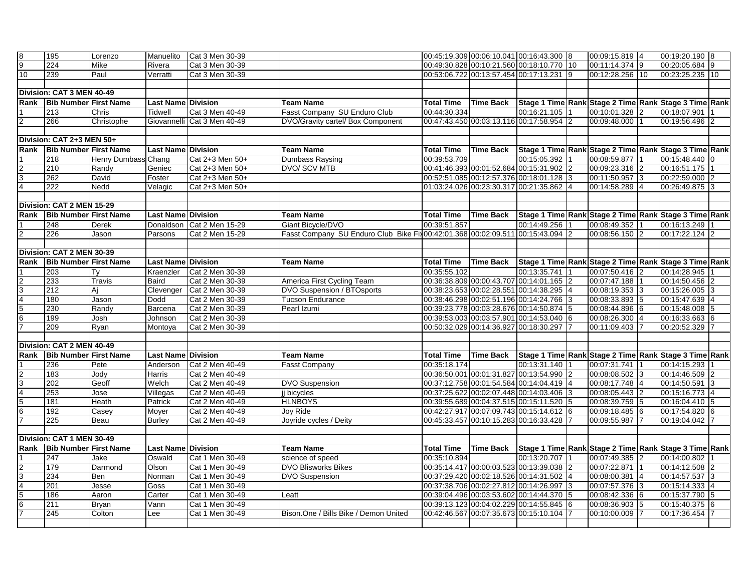| $\frac{8}{9}$                                           | 195                          | Lorenzo                    | Manuelito                 | Cat 3 Men 30-39             |                                                                                |                   |                                        | 00:45:19.309 00:06:10.041 00:16:43.300 8  |              | 00:09:15.819 4  | 00:19:20.190 8                                                  |  |
|---------------------------------------------------------|------------------------------|----------------------------|---------------------------|-----------------------------|--------------------------------------------------------------------------------|-------------------|----------------------------------------|-------------------------------------------|--------------|-----------------|-----------------------------------------------------------------|--|
|                                                         | 224                          | Mike                       | Rivera                    | Cat 3 Men 30-39             |                                                                                |                   |                                        | 00:49:30.828 00:10:21.560 00:18:10.770 10 |              | 00:11:14.374 9  | 00:20:05.684 9                                                  |  |
| 10                                                      | 239                          | Paul                       | Verratti                  | Cat 3 Men 30-39             |                                                                                |                   |                                        | 00:53:06.722 00:13:57.454 00:17:13.231 9  |              | 00:12:28.256 10 | 00:23:25.235 10                                                 |  |
|                                                         |                              |                            |                           |                             |                                                                                |                   |                                        |                                           |              |                 |                                                                 |  |
|                                                         | Division: CAT 3 MEN 40-49    |                            |                           |                             |                                                                                |                   |                                        |                                           |              |                 |                                                                 |  |
| Rank                                                    | <b>Bib Number First Name</b> |                            | Last Name Division        |                             | <b>Team Name</b>                                                               | <b>Total Time</b> |                                        |                                           |              |                 | Time Back Stage 1 Time Rank Stage 2 Time Rank Stage 3 Time Rank |  |
|                                                         | 213                          | Chris                      | <b>Tidwell</b>            | Cat 3 Men 40-49             | Fasst Company SU Enduro Club                                                   | 00:44:30.334      |                                        | 00:16:21.105 1                            |              | 00:10:01.328 2  | 00:18:07.901                                                    |  |
| $\overline{c}$                                          | 266                          | Christophe                 |                           | Giovannelli Cat 3 Men 40-49 | DVO/Gravity cartel/ Box Component                                              |                   |                                        | 00:47:43.450 00:03:13.116 00:17:58.954 2  |              | 00:09:48.000    | 00:19:56.496 2                                                  |  |
|                                                         |                              |                            |                           |                             |                                                                                |                   |                                        |                                           |              |                 |                                                                 |  |
| Division: CAT 2+3 MEN 50+                               |                              |                            |                           |                             |                                                                                |                   |                                        |                                           |              |                 |                                                                 |  |
| Rank                                                    | <b>Bib Number First Name</b> |                            | Last Name Division        |                             | <b>Team Name</b>                                                               | <b>Total Time</b> | <b>Time Back</b>                       |                                           |              |                 | Stage 1 Time Rank Stage 2 Time Rank Stage 3 Time Rank           |  |
|                                                         | 218                          | <b>Henry Dumbass Chang</b> |                           | Cat 2+3 Men 50+             | <b>Dumbass Raysing</b>                                                         | 00:39:53.709      |                                        | 00:15:05.392 1                            |              | 00:08:59.877 1  | 00:15:48.440 0                                                  |  |
|                                                         | 210                          | Randy                      | Geniec                    | Cat 2+3 Men 50+             | DVO/ SCV MTB                                                                   |                   |                                        | 00:41:46.393 00:01:52.684 00:15:31.902 2  |              | 00:09:23.316 2  | 00:16:51.175                                                    |  |
| $\frac{2}{3}$                                           | 262                          | David                      | Foster                    | Cat 2+3 Men 50+             |                                                                                |                   |                                        | 00:52:51.085 00:12:57.376 00:18:01.128 3  |              | 00:11:50.957 3  | 00:22:59.000 2                                                  |  |
|                                                         | $\overline{222}$             | Nedd                       | Velagic                   | Cat 2+3 Men 50+             |                                                                                |                   |                                        | 01:03:24.026 00:23:30.317 00:21:35.862 4  |              | 00:14:58.289 4  | 00:26:49.875 3                                                  |  |
|                                                         |                              |                            |                           |                             |                                                                                |                   |                                        |                                           |              |                 |                                                                 |  |
|                                                         | Division: CAT 2 MEN 15-29    |                            |                           |                             |                                                                                |                   |                                        |                                           |              |                 |                                                                 |  |
| Rank                                                    | <b>Bib Number First Name</b> |                            | <b>Last Name Division</b> |                             | <b>Team Name</b>                                                               | <b>Total Time</b> | <b>Time Back</b>                       |                                           |              |                 | Stage 1 Time Rank Stage 2 Time Rank Stage 3 Time Rank           |  |
|                                                         | 248                          | Derek                      | Donaldson                 | Cat 2 Men 15-29             | Giant Bicycle/DVO                                                              | 00:39:51.857      |                                        | 00:14:49.256                              |              | 00:08:49.352    | 00:16:13.249                                                    |  |
| $\overline{2}$                                          | 226                          | Jason                      | Parsons                   | Cat 2 Men 15-29             | Fasst Company SU Enduro Club Bike Fix 00:42:01.368 00:02:09.511 00:15:43.094 2 |                   |                                        |                                           |              | 00:08:56.150 2  | 00:17:22.124                                                    |  |
|                                                         |                              |                            |                           |                             |                                                                                |                   |                                        |                                           |              |                 |                                                                 |  |
|                                                         | Division: CAT 2 MEN 30-39    |                            |                           |                             |                                                                                |                   |                                        |                                           |              |                 |                                                                 |  |
| Rank                                                    | <b>Bib Number First Name</b> |                            | <b>Last Name Division</b> |                             | <b>Team Name</b>                                                               | <b>Total Time</b> |                                        |                                           |              |                 | Time Back Stage 1 Time Rank Stage 2 Time Rank Stage 3 Time Rank |  |
|                                                         | 203                          | Ty                         | Kraenzler                 | Cat 2 Men 30-39             |                                                                                | 00:35:55.102      |                                        | 00:13:35.741                              |              | 00:07:50.416 2  | 00:14:28.945                                                    |  |
|                                                         | 233                          | <b>Travis</b>              | Baird                     | Cat 2 Men 30-39             | America First Cycling Team                                                     |                   |                                        | 00:36:38.809 00:00:43.707 00:14:01.165 2  |              | 00:07:47.188 1  | 00:14:50.456 2                                                  |  |
|                                                         | 212                          | Aj                         | Clevenger                 | Cat 2 Men 30-39             | <b>DVO Suspension / BTOsports</b>                                              |                   |                                        | 00:38:23.653 00:02:28.551 00:14:38.295 4  |              | 00:08:19.353 3  | $00:15:26.005$ 3                                                |  |
| $\frac{2}{7}$                                           | 180                          | Jason                      | Dodd                      | Cat 2 Men 30-39             | <b>Tucson Endurance</b>                                                        |                   |                                        | 00:38:46.298 00:02:51.196 00:14:24.766 3  |              | 00:08:33.893 5  | 00:15:47.639 4                                                  |  |
|                                                         | 230                          | Randy                      | Barcena                   | Cat 2 Men 30-39             | Pearl Izumi                                                                    |                   |                                        | 00:39:23.778 00:03:28.676 00:14:50.874 5  |              | 00:08:44.896 6  | 00:15:48.008 5                                                  |  |
|                                                         | 199                          | Josh                       | Johnson                   | Cat 2 Men 30-39             |                                                                                |                   |                                        | 00:39:53.003 00:03:57.901 00:14:53.040 6  |              | 00:08:26.300 4  | 00:16:33.663 6                                                  |  |
|                                                         | 209                          | Ryan                       | Montoya                   | Cat 2 Men 30-39             |                                                                                |                   |                                        | 00:50:32.029 00:14:36.927 00:18:30.297 7  |              | 00:11:09.403 7  | 00:20:52.329 7                                                  |  |
|                                                         |                              |                            |                           |                             |                                                                                |                   |                                        |                                           |              |                 |                                                                 |  |
|                                                         | Division: CAT 2 MEN 40-49    |                            |                           |                             |                                                                                |                   |                                        |                                           |              |                 |                                                                 |  |
| Rank                                                    | <b>Bib Number First Name</b> |                            | <b>Last Name Division</b> |                             | <b>Team Name</b>                                                               | <b>Total Time</b> |                                        |                                           |              |                 | Time Back Stage 1 Time Rank Stage 2 Time Rank Stage 3 Time Rank |  |
|                                                         | 236                          | Pete                       | Anderson                  | Cat 2 Men 40-49             | <b>Fasst Company</b>                                                           | 00:35:18.174      |                                        | 00:13:31.140 1                            |              | 00:07:31.741 1  | 00:14:15.293                                                    |  |
|                                                         | 183                          | Jody                       | Harris                    | Cat 2 Men 40-49             |                                                                                |                   |                                        | 00:36:50.001 00:01:31.827 00:13:54.990    | <sup>2</sup> | 00:08:08.502 3  | 00:14:46.509                                                    |  |
|                                                         | 202                          | Geoff                      | Welch                     | Cat 2 Men 40-49             | <b>DVO Suspension</b>                                                          |                   |                                        | 00:37:12.758 00:01:54.584 00:14:04.419 4  |              | 00:08:17.748 4  | 00:14:50.591                                                    |  |
|                                                         | 253                          | Jose                       | Villegas                  | Cat 2 Men 40-49             | j bicycles                                                                     |                   |                                        | 00:37:25.622 00:02:07.448 00:14:03.406 3  |              | 00:08:05.443 2  | 00:15:16.773 4                                                  |  |
| $\frac{2}{7}$ $\frac{3}{6}$ $\frac{4}{7}$               | 181                          | Heath                      | Patrick                   | Cat 2 Men 40-49             | <b>HLNBOYS</b>                                                                 |                   |                                        | 00:39:55.689 00:04:37.515 00:15:11.520 5  |              | 00:08:39.759 5  | 00:16:04.410 5                                                  |  |
|                                                         | 192                          | Casey                      | Moyer                     | Cat 2 Men 40-49             | Joy Ride                                                                       |                   |                                        | 00:42:27.917 00:07:09.743 00:15:14.612 6  |              | 00:09:18.485 6  | 00:17:54.820 6                                                  |  |
|                                                         | 225                          | Beau                       | <b>Burley</b>             | Cat 2 Men 40-49             | Joyride cycles / Deity                                                         |                   |                                        | 00:45:33.457 00:10:15.283 00:16:33.428 7  |              | 00:09:55.987    | 00:19:04.042 7                                                  |  |
|                                                         |                              |                            |                           |                             |                                                                                |                   |                                        |                                           |              |                 |                                                                 |  |
| Division: CAT 1 MEN 30-49                               |                              |                            |                           |                             |                                                                                |                   |                                        |                                           |              |                 |                                                                 |  |
| Rank                                                    | <b>Bib Number First Name</b> |                            | Last Name Division        |                             | <b>Team Name</b>                                                               | <b>Total Time</b> | Time Back                              |                                           |              |                 | Stage 1 Time Rank Stage 2 Time Rank Stage 3 Time Rank           |  |
|                                                         | 247                          | Jake                       | Oswald                    | Cat 1 Men 30-49             | science of speed                                                               | 00:35:10.894      |                                        | 00:13:20.707                              |              | 00:07:49.385 2  | 00:14:00.802                                                    |  |
|                                                         | 179                          | Darmond                    | Olson                     | Cat 1 Men 30-49             | <b>DVO Blisworks Bikes</b>                                                     |                   |                                        | 00:35:14.417 00:00:03.523 00:13:39.038 2  |              | 00:07:22.871 1  | 00:14:12.508 2                                                  |  |
|                                                         | 234                          | Ben                        | Norman                    | Cat 1 Men 30-49             | <b>DVO Suspension</b>                                                          |                   |                                        | 00:37:29.420 00:02:18.526 00:14:31.502 4  |              | 00:08:00.381 4  | 00:14:57.537 3                                                  |  |
|                                                         | 201                          | Jesse                      | Goss                      | Cat 1 Men 30-49             |                                                                                |                   |                                        | 00:37:38.706 00:02:27.812 00:14:26.997 3  |              | 00:07:57.376 3  | 00:15:14.333 4                                                  |  |
| $\frac{1}{2}$ $\frac{1}{2}$ $\frac{1}{2}$ $\frac{1}{2}$ | 186                          | Aaron                      | Carter                    | Cat 1 Men 30-49             | Leatt                                                                          |                   |                                        | 00:39:04.496 00:03:53.602 00:14:44.370 5  |              | 00:08:42.336 6  | 00:15:37.790                                                    |  |
|                                                         | 211                          | <b>Bryan</b>               | Vann                      | Cat 1 Men 30-49             |                                                                                |                   |                                        | 00:39:13.123 00:04:02.229 00:14:55.845 6  |              | 00:08:36.903 5  | 00:15:40.375                                                    |  |
|                                                         | 245                          | Colton                     | Lee                       | Cat 1 Men 30-49             | Bison.One / Bills Bike / Demon United                                          |                   | 00:42:46.567 00:07:35.673 00:15:10.104 |                                           |              | 00:10:00.009    | 00:17:36.454                                                    |  |
|                                                         |                              |                            |                           |                             |                                                                                |                   |                                        |                                           |              |                 |                                                                 |  |